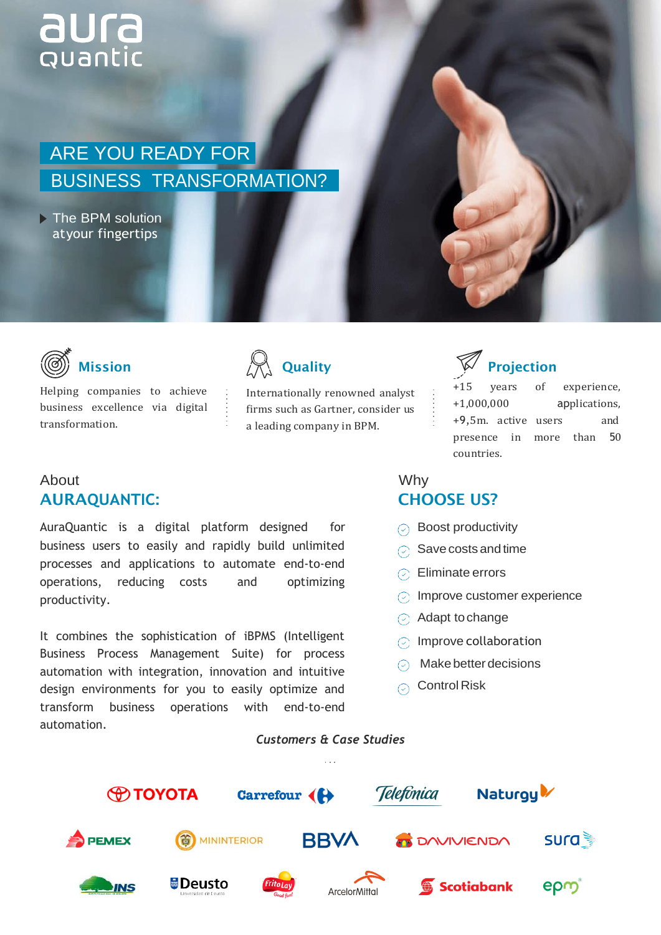# **aura**<br>Quantic

## ARE YOU READY FOR BUSINESS TRANSFORMATION?

The BPM solution atyour fingertips



### Mission

Helping companies to achieve business excellence via digital transformation.



Internationally renowned analyst firms such as Gartner, consider us a leading company in BPM.

#### About AURA**QUANTIC**:

AuraQuantic is a digital platform designed for business users to easily and rapidly build unlimited processes and applications to automate end-to-end operations, reducing costs and optimizing productivity.

It combines the sophistication of iBPMS (Intelligent Business Process Management Suite) for process automation with integration, innovation and intuitive design environments for you to easily optimize and transform business operations with end-to-end automation.



+15 years of experience, +1,000,000 applications, +9,5m. active users and presence in more than 50 countries.

#### Why CHOOSE US?

- $\odot$  Boost productivity
- $\odot$  Save costs and time
- $\odot$  Eliminate errors
- $\odot$  Improve customer experience
- $\odot$  Adapt to change
- $\odot$  Improve collaboration
- $\odot$  Make better decisions
- $\odot$  Control Risk

#### *Customers & Case Studies*